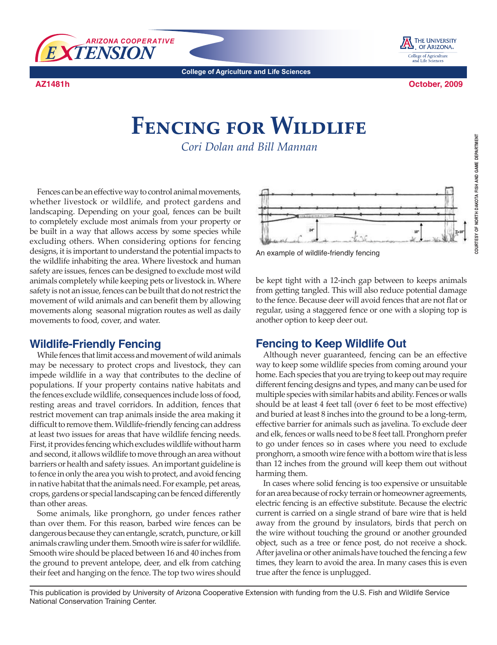

THE UNIVERSITY  $\blacksquare$  of Arizona. College of Agriculture<br>and Life Sciences

**College of Agriculture and Life Sciences**

**AZ1481h**

**October, 2009**

## **Fencing for Wildlife**

*Cori Dolan and Bill Mannan*

Fences can be an effective way to control animal movements, whether livestock or wildlife, and protect gardens and landscaping. Depending on your goal, fences can be built to completely exclude most animals from your property or be built in a way that allows access by some species while excluding others. When considering options for fencing designs, it is important to understand the potential impacts to the wildlife inhabiting the area. Where livestock and human safety are issues, fences can be designed to exclude most wild animals completely while keeping pets or livestock in. Where safety is not an issue, fences can be built that do not restrict the movement of wild animals and can benefit them by allowing movements along seasonal migration routes as well as daily movements to food, cover, and water.

## **Wildlife-Friendly Fencing**

While fences that limit access and movement of wild animals may be necessary to protect crops and livestock, they can impede wildlife in a way that contributes to the decline of populations. If your property contains native habitats and the fences exclude wildlife, consequences include loss of food, resting areas and travel corridors. In addition, fences that restrict movement can trap animals inside the area making it difficult to remove them. Wildlife-friendly fencing can address at least two issues for areas that have wildlife fencing needs. First, it provides fencing which excludes wildlife without harm and second, it allows wildlife to move through an area without barriers or health and safety issues. An important guideline is to fence in only the area you wish to protect, and avoid fencing in native habitat that the animals need. For example, pet areas, crops, gardens or special landscaping can be fenced differently than other areas.

Some animals, like pronghorn, go under fences rather than over them. For this reason, barbed wire fences can be dangerous because they can entangle, scratch, puncture, or kill animals crawling under them. Smooth wire is safer for wildlife. Smooth wire should be placed between 16 and 40 inches from the ground to prevent antelope, deer, and elk from catching their feet and hanging on the fence. The top two wires should



An example of wildlife-friendly fencing

be kept tight with a 12-inch gap between to keeps animals from getting tangled. This will also reduce potential damage to the fence. Because deer will avoid fences that are not flat or regular, using a staggered fence or one with a sloping top is another option to keep deer out.

## **Fencing to Keep Wildlife Out**

Although never guaranteed, fencing can be an effective way to keep some wildlife species from coming around your home. Each species that you are trying to keep out may require different fencing designs and types, and many can be used for multiple species with similar habits and ability. Fences or walls should be at least 4 feet tall (over 6 feet to be most effective) and buried at least 8 inches into the ground to be a long-term, effective barrier for animals such as javelina. To exclude deer and elk, fences or walls need to be 8 feet tall. Pronghorn prefer to go under fences so in cases where you need to exclude pronghorn, a smooth wire fence with a bottom wire that is less than 12 inches from the ground will keep them out without harming them.

In cases where solid fencing is too expensive or unsuitable for an area because of rocky terrain or homeowner agreements, electric fencing is an effective substitute. Because the electric current is carried on a single strand of bare wire that is held away from the ground by insulators, birds that perch on the wire without touching the ground or another grounded object, such as a tree or fence post, do not receive a shock. After javelina or other animals have touched the fencing a few times, they learn to avoid the area. In many cases this is even true after the fence is unplugged.

This publication is provided by University of Arizona Cooperative Extension with funding from the U.S. Fish and Wildlife Service National Conservation Training Center.